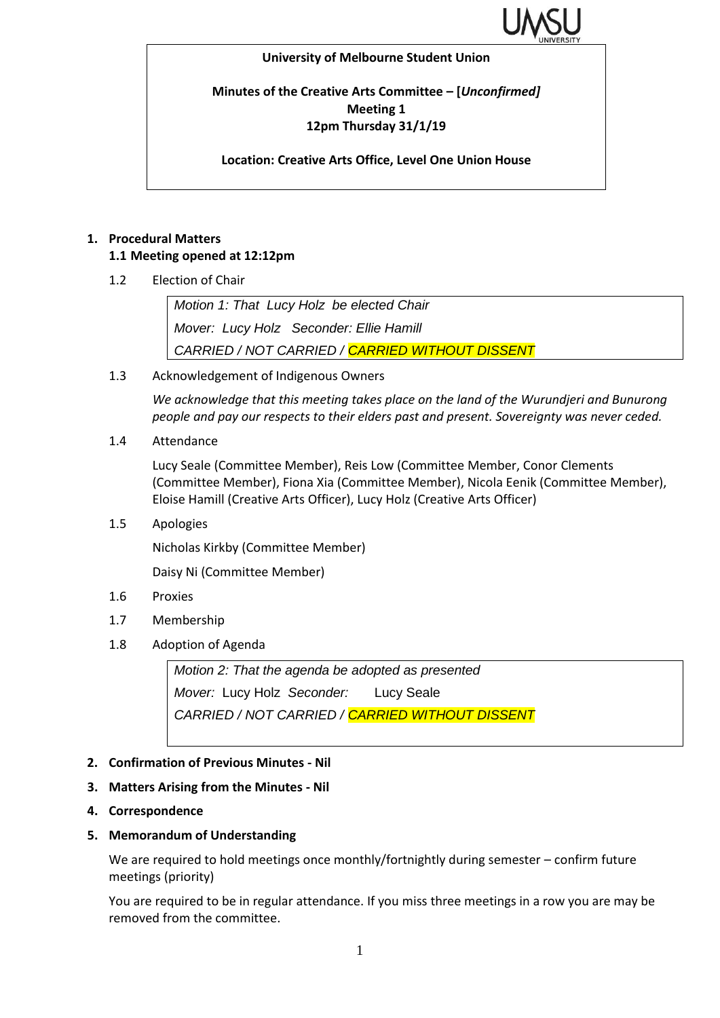

#### **University of Melbourne Student Union**

**Minutes of the Creative Arts Committee – [***Unconfirmed]* **Meeting 1 12pm Thursday 31/1/19**

**Location: Creative Arts Office, Level One Union House**

### **1. Procedural Matters 1.1 Meeting opened at 12:12pm**

1.2 Election of Chair

*Motion 1: That Lucy Holz be elected Chair Mover: Lucy Holz Seconder: Ellie Hamill CARRIED / NOT CARRIED / CARRIED WITHOUT DISSENT*

## 1.3 Acknowledgement of Indigenous Owners

*We acknowledge that this meeting takes place on the land of the Wurundjeri and Bunurong people and pay our respects to their elders past and present. Sovereignty was never ceded.* 

### 1.4 Attendance

Lucy Seale (Committee Member), Reis Low (Committee Member, Conor Clements (Committee Member), Fiona Xia (Committee Member), Nicola Eenik (Committee Member), Eloise Hamill (Creative Arts Officer), Lucy Holz (Creative Arts Officer)

1.5 Apologies

Nicholas Kirkby (Committee Member)

Daisy Ni (Committee Member)

- 1.6 Proxies
- 1.7 Membership
- 1.8 Adoption of Agenda

*Motion 2: That the agenda be adopted as presented Mover:* Lucy Holz *Seconder:* Lucy Seale *CARRIED / NOT CARRIED / CARRIED WITHOUT DISSENT*

**2. Confirmation of Previous Minutes - Nil** 

## **3. Matters Arising from the Minutes - Nil**

**4. Correspondence**

#### **5. Memorandum of Understanding**

We are required to hold meetings once monthly/fortnightly during semester – confirm future meetings (priority)

You are required to be in regular attendance. If you miss three meetings in a row you are may be removed from the committee.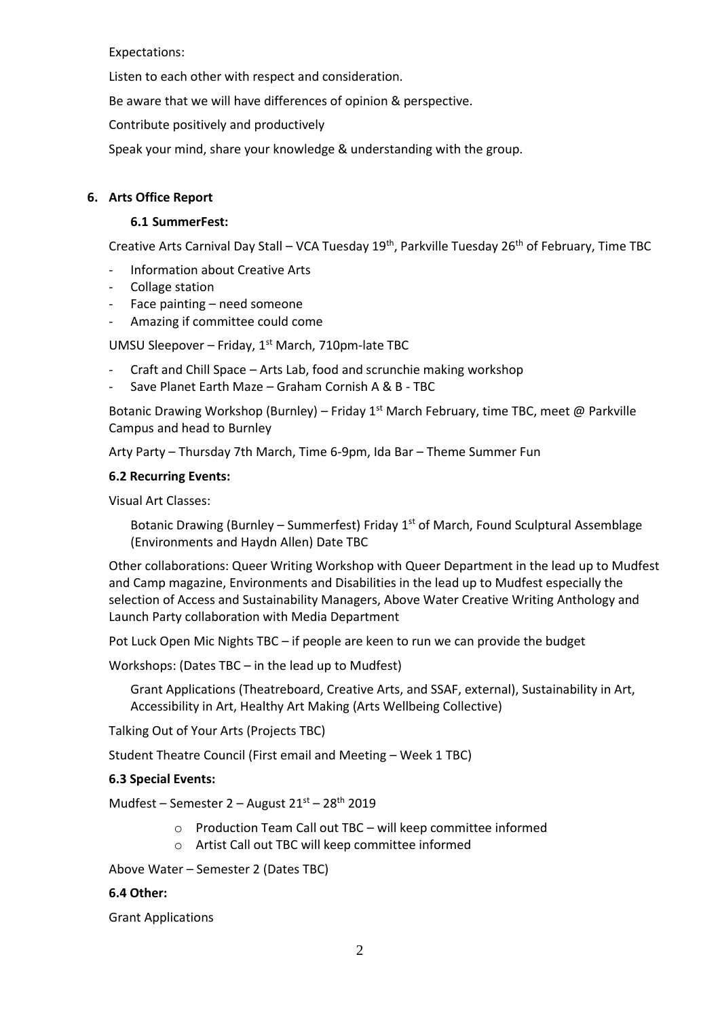Expectations:

Listen to each other with respect and consideration.

Be aware that we will have differences of opinion & perspective.

Contribute positively and productively

Speak your mind, share your knowledge & understanding with the group.

## **6. Arts Office Report**

### **6.1 SummerFest:**

Creative Arts Carnival Day Stall – VCA Tuesday  $19<sup>th</sup>$ , Parkville Tuesday 26<sup>th</sup> of February, Time TBC

- Information about Creative Arts
- Collage station
- Face painting  $-$  need someone
- Amazing if committee could come

UMSU Sleepover – Friday,  $1<sup>st</sup>$  March, 710pm-late TBC

- Craft and Chill Space Arts Lab, food and scrunchie making workshop
- Save Planet Earth Maze Graham Cornish A & B TBC

Botanic Drawing Workshop (Burnley) – Friday 1<sup>st</sup> March February, time TBC, meet @ Parkville Campus and head to Burnley

Arty Party – Thursday 7th March, Time 6-9pm, Ida Bar – Theme Summer Fun

#### **6.2 Recurring Events:**

Visual Art Classes:

Botanic Drawing (Burnley – Summerfest) Friday  $1<sup>st</sup>$  of March, Found Sculptural Assemblage (Environments and Haydn Allen) Date TBC

Other collaborations: Queer Writing Workshop with Queer Department in the lead up to Mudfest and Camp magazine, Environments and Disabilities in the lead up to Mudfest especially the selection of Access and Sustainability Managers, Above Water Creative Writing Anthology and Launch Party collaboration with Media Department

Pot Luck Open Mic Nights TBC – if people are keen to run we can provide the budget

Workshops: (Dates TBC – in the lead up to Mudfest)

Grant Applications (Theatreboard, Creative Arts, and SSAF, external), Sustainability in Art, Accessibility in Art, Healthy Art Making (Arts Wellbeing Collective)

Talking Out of Your Arts (Projects TBC)

Student Theatre Council (First email and Meeting – Week 1 TBC)

#### **6.3 Special Events:**

Mudfest – Semester 2 – August  $21<sup>st</sup>$  – 28<sup>th</sup> 2019

- o Production Team Call out TBC will keep committee informed
- o Artist Call out TBC will keep committee informed

Above Water – Semester 2 (Dates TBC)

### **6.4 Other:**

Grant Applications